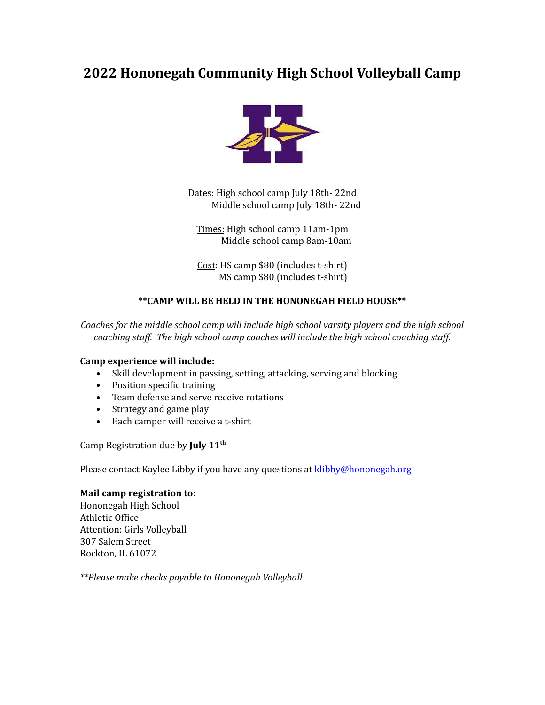## **2022 Hononegah Community High School Volleyball Camp**



Dates: High school camp July 18th- 22nd Middle school camp July 18th- 22nd

Times: High school camp 11am-1pm Middle school camp 8am-10am

Cost: HS camp \$80 (includes t-shirt) MS camp \$80 (includes t-shirt)

## **\*\*CAMP WILL BE HELD IN THE HONONEGAH FIELD HOUSE\*\***

*Coaches for the middle school camp will include high school varsity players and the high school coaching staf . The high school camp coaches will include the high school coaching staf .*

## **Camp experience will include:**

- Skill development in passing, setting, attacking, serving and blocking
- Position specific training
- Team defense and serve receive rotations
- Strategy and game play
- Each camper will receive a t-shirt

Camp Registration due by **July 11 th**

Please contact Kaylee Libby if you have any questions at [klibby@hononegah.org](mailto:klibby@hononegah.org)

## **Mail camp registration to:**

Hononegah High School Athletic Office Attention: Girls Volleyball 307 Salem Street Rockton, IL 61072

*\*\*Please make checks payable to Hononegah Volleyball*